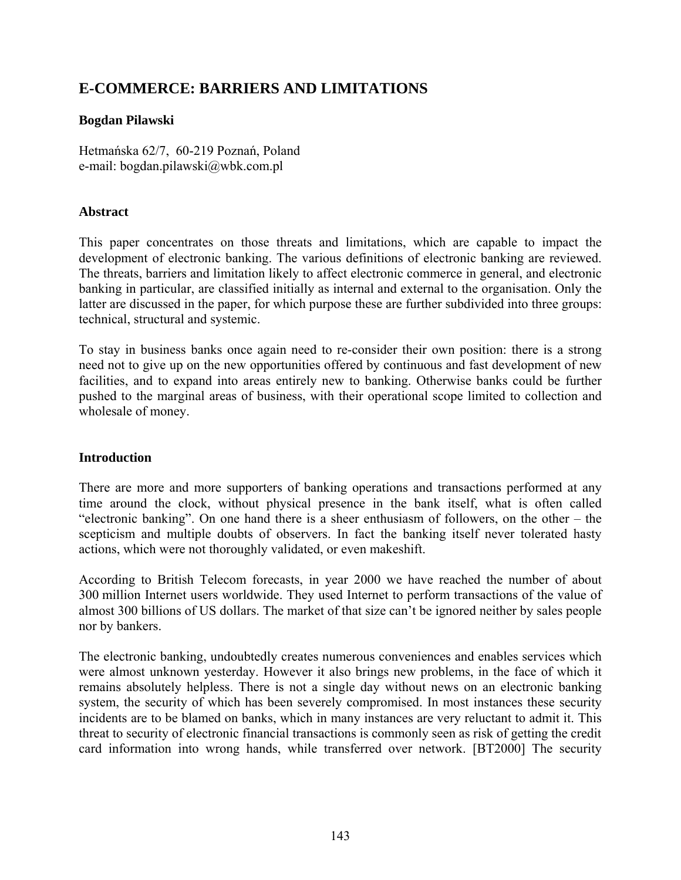# **E-COMMERCE: BARRIERS AND LIMITATIONS**

# **Bogdan Pilawski**

Hetmańska 62/7, 60-219 Poznań, Poland e-mail: bogdan.pilawski@wbk.com.pl

# **Abstract**

This paper concentrates on those threats and limitations, which are capable to impact the development of electronic banking. The various definitions of electronic banking are reviewed. The threats, barriers and limitation likely to affect electronic commerce in general, and electronic banking in particular, are classified initially as internal and external to the organisation. Only the latter are discussed in the paper, for which purpose these are further subdivided into three groups: technical, structural and systemic.

To stay in business banks once again need to re-consider their own position: there is a strong need not to give up on the new opportunities offered by continuous and fast development of new facilities, and to expand into areas entirely new to banking. Otherwise banks could be further pushed to the marginal areas of business, with their operational scope limited to collection and wholesale of money.

# **Introduction**

There are more and more supporters of banking operations and transactions performed at any time around the clock, without physical presence in the bank itself, what is often called "electronic banking". On one hand there is a sheer enthusiasm of followers, on the other – the scepticism and multiple doubts of observers. In fact the banking itself never tolerated hasty actions, which were not thoroughly validated, or even makeshift.

According to British Telecom forecasts, in year 2000 we have reached the number of about 300 million Internet users worldwide. They used Internet to perform transactions of the value of almost 300 billions of US dollars. The market of that size can't be ignored neither by sales people nor by bankers.

The electronic banking, undoubtedly creates numerous conveniences and enables services which were almost unknown yesterday. However it also brings new problems, in the face of which it remains absolutely helpless. There is not a single day without news on an electronic banking system, the security of which has been severely compromised. In most instances these security incidents are to be blamed on banks, which in many instances are very reluctant to admit it. This threat to security of electronic financial transactions is commonly seen as risk of getting the credit card information into wrong hands, while transferred over network. [BT2000] The security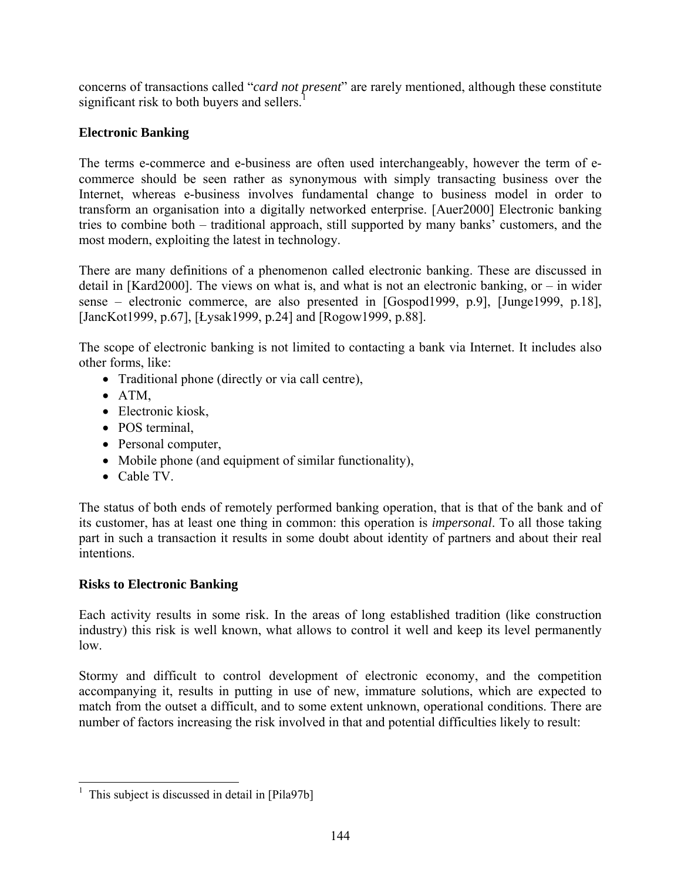concerns of transactions called "*card not present*" are rarely mentioned, although these constitute significant risk to both buyers and sellers.<sup>[1](#page-1-0)</sup>

# **Electronic Banking**

The terms e-commerce and e-business are often used interchangeably, however the term of ecommerce should be seen rather as synonymous with simply transacting business over the Internet, whereas e-business involves fundamental change to business model in order to transform an organisation into a digitally networked enterprise. [Auer2000] Electronic banking tries to combine both – traditional approach, still supported by many banks' customers, and the most modern, exploiting the latest in technology.

There are many definitions of a phenomenon called electronic banking. These are discussed in detail in [Kard2000]. The views on what is, and what is not an electronic banking, or – in wider sense – electronic commerce, are also presented in [Gospod1999, p.9], [Junge1999, p.18], [JancKot1999, p.67], [Łysak1999, p.24] and [Rogow1999, p.88].

The scope of electronic banking is not limited to contacting a bank via Internet. It includes also other forms, like:

- Traditional phone (directly or via call centre),
- ATM,
- Electronic kiosk,
- POS terminal,
- Personal computer,
- Mobile phone (and equipment of similar functionality),
- Cable TV.

The status of both ends of remotely performed banking operation, that is that of the bank and of its customer, has at least one thing in common: this operation is *impersonal*. To all those taking part in such a transaction it results in some doubt about identity of partners and about their real intentions.

# **Risks to Electronic Banking**

Each activity results in some risk. In the areas of long established tradition (like construction industry) this risk is well known, what allows to control it well and keep its level permanently low.

Stormy and difficult to control development of electronic economy, and the competition accompanying it, results in putting in use of new, immature solutions, which are expected to match from the outset a difficult, and to some extent unknown, operational conditions. There are number of factors increasing the risk involved in that and potential difficulties likely to result:

<span id="page-1-0"></span><sup>&</sup>lt;sup>1</sup> This subject is discussed in detail in [Pila97b]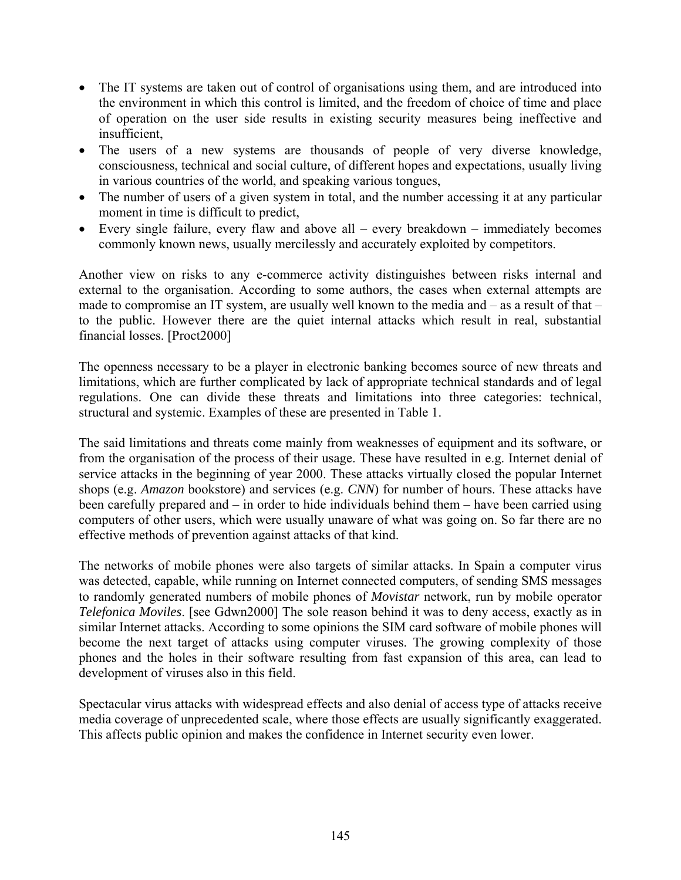- The IT systems are taken out of control of organisations using them, and are introduced into the environment in which this control is limited, and the freedom of choice of time and place of operation on the user side results in existing security measures being ineffective and insufficient,
- The users of a new systems are thousands of people of very diverse knowledge, consciousness, technical and social culture, of different hopes and expectations, usually living in various countries of the world, and speaking various tongues,
- The number of users of a given system in total, and the number accessing it at any particular moment in time is difficult to predict,
- Every single failure, every flaw and above all every breakdown immediately becomes commonly known news, usually mercilessly and accurately exploited by competitors.

Another view on risks to any e-commerce activity distinguishes between risks internal and external to the organisation. According to some authors, the cases when external attempts are made to compromise an IT system, are usually well known to the media and – as a result of that – to the public. However there are the quiet internal attacks which result in real, substantial financial losses. [Proct2000]

The openness necessary to be a player in electronic banking becomes source of new threats and limitations, which are further complicated by lack of appropriate technical standards and of legal regulations. One can divide these threats and limitations into three categories: technical, structural and systemic. Examples of these are presented in Table 1.

The said limitations and threats come mainly from weaknesses of equipment and its software, or from the organisation of the process of their usage. These have resulted in e.g. Internet denial of service attacks in the beginning of year 2000. These attacks virtually closed the popular Internet shops (e.g. *Amazon* bookstore) and services (e.g. *CNN*) for number of hours. These attacks have been carefully prepared and – in order to hide individuals behind them – have been carried using computers of other users, which were usually unaware of what was going on. So far there are no effective methods of prevention against attacks of that kind.

The networks of mobile phones were also targets of similar attacks. In Spain a computer virus was detected, capable, while running on Internet connected computers, of sending SMS messages to randomly generated numbers of mobile phones of *Movistar* network, run by mobile operator *Telefonica Moviles*. [see Gdwn2000] The sole reason behind it was to deny access, exactly as in similar Internet attacks. According to some opinions the SIM card software of mobile phones will become the next target of attacks using computer viruses. The growing complexity of those phones and the holes in their software resulting from fast expansion of this area, can lead to development of viruses also in this field.

Spectacular virus attacks with widespread effects and also denial of access type of attacks receive media coverage of unprecedented scale, where those effects are usually significantly exaggerated. This affects public opinion and makes the confidence in Internet security even lower.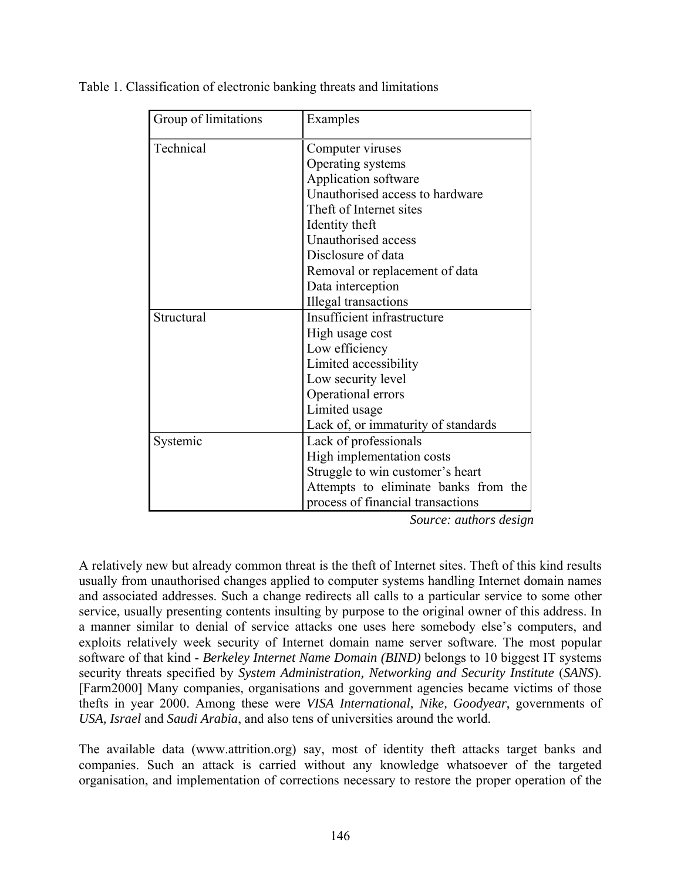| Group of limitations | Examples                             |
|----------------------|--------------------------------------|
| Technical            | Computer viruses                     |
|                      | Operating systems                    |
|                      | Application software                 |
|                      | Unauthorised access to hardware      |
|                      | Theft of Internet sites              |
|                      | Identity theft                       |
|                      | Unauthorised access                  |
|                      | Disclosure of data                   |
|                      | Removal or replacement of data       |
|                      | Data interception                    |
|                      | Illegal transactions                 |
| Structural           | Insufficient infrastructure          |
|                      | High usage cost                      |
|                      | Low efficiency                       |
|                      | Limited accessibility                |
|                      | Low security level                   |
|                      | Operational errors                   |
|                      | Limited usage                        |
|                      | Lack of, or immaturity of standards  |
| Systemic             | Lack of professionals                |
|                      | High implementation costs            |
|                      | Struggle to win customer's heart     |
|                      | Attempts to eliminate banks from the |
|                      | process of financial transactions    |

Table 1. Classification of electronic banking threats and limitations

*Source: authors design* 

A relatively new but already common threat is the theft of Internet sites. Theft of this kind results usually from unauthorised changes applied to computer systems handling Internet domain names and associated addresses. Such a change redirects all calls to a particular service to some other service, usually presenting contents insulting by purpose to the original owner of this address. In a manner similar to denial of service attacks one uses here somebody else's computers, and exploits relatively week security of Internet domain name server software. The most popular software of that kind - *Berkeley Internet Name Domain (BIND)* belongs to 10 biggest IT systems security threats specified by *System Administration, Networking and Security Institute* (*SANS*). [Farm2000] Many companies, organisations and government agencies became victims of those thefts in year 2000. Among these were *VISA International, Nike, Goodyear*, governments of *USA, Israel* and *Saudi Arabia*, and also tens of universities around the world.

The available data (www.attrition.org) say, most of identity theft attacks target banks and companies. Such an attack is carried without any knowledge whatsoever of the targeted organisation, and implementation of corrections necessary to restore the proper operation of the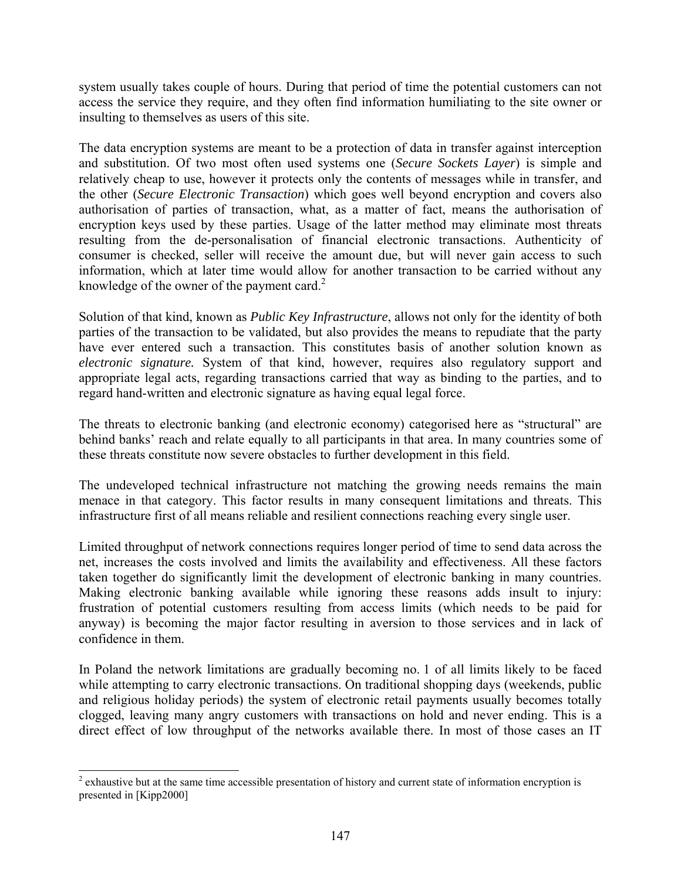system usually takes couple of hours. During that period of time the potential customers can not access the service they require, and they often find information humiliating to the site owner or insulting to themselves as users of this site.

The data encryption systems are meant to be a protection of data in transfer against interception and substitution. Of two most often used systems one (*Secure Sockets Layer*) is simple and relatively cheap to use, however it protects only the contents of messages while in transfer, and the other (*Secure Electronic Transaction*) which goes well beyond encryption and covers also authorisation of parties of transaction, what, as a matter of fact, means the authorisation of encryption keys used by these parties. Usage of the latter method may eliminate most threats resulting from the de-personalisation of financial electronic transactions. Authenticity of consumer is checked, seller will receive the amount due, but will never gain access to such information, which at later time would allow for another transaction to be carried without any knowledge of the owner of the payment card. $2^2$  $2^2$ 

Solution of that kind, known as *Public Key Infrastructure*, allows not only for the identity of both parties of the transaction to be validated, but also provides the means to repudiate that the party have ever entered such a transaction. This constitutes basis of another solution known as *electronic signature.* System of that kind, however, requires also regulatory support and appropriate legal acts, regarding transactions carried that way as binding to the parties, and to regard hand-written and electronic signature as having equal legal force.

The threats to electronic banking (and electronic economy) categorised here as "structural" are behind banks' reach and relate equally to all participants in that area. In many countries some of these threats constitute now severe obstacles to further development in this field.

The undeveloped technical infrastructure not matching the growing needs remains the main menace in that category. This factor results in many consequent limitations and threats. This infrastructure first of all means reliable and resilient connections reaching every single user.

Limited throughput of network connections requires longer period of time to send data across the net, increases the costs involved and limits the availability and effectiveness. All these factors taken together do significantly limit the development of electronic banking in many countries. Making electronic banking available while ignoring these reasons adds insult to injury: frustration of potential customers resulting from access limits (which needs to be paid for anyway) is becoming the major factor resulting in aversion to those services and in lack of confidence in them.

In Poland the network limitations are gradually becoming no. 1 of all limits likely to be faced while attempting to carry electronic transactions. On traditional shopping days (weekends, public and religious holiday periods) the system of electronic retail payments usually becomes totally clogged, leaving many angry customers with transactions on hold and never ending. This is a direct effect of low throughput of the networks available there. In most of those cases an IT

<span id="page-4-0"></span> $\frac{1}{2}$  $2$  exhaustive but at the same time accessible presentation of history and current state of information encryption is presented in [Kipp2000]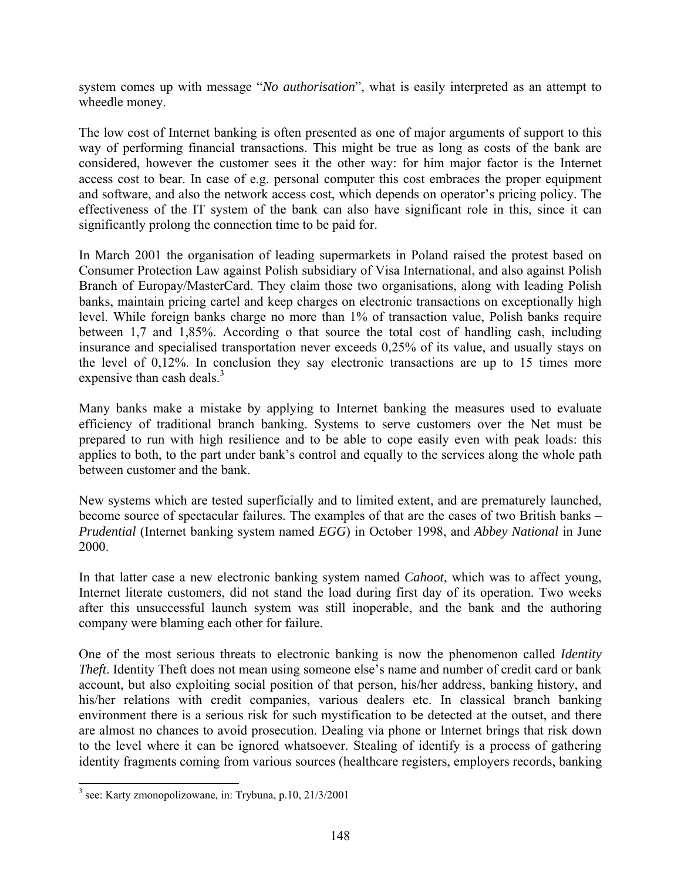system comes up with message "*No authorisation*", what is easily interpreted as an attempt to wheedle money.

The low cost of Internet banking is often presented as one of major arguments of support to this way of performing financial transactions. This might be true as long as costs of the bank are considered, however the customer sees it the other way: for him major factor is the Internet access cost to bear. In case of e.g. personal computer this cost embraces the proper equipment and software, and also the network access cost, which depends on operator's pricing policy. The effectiveness of the IT system of the bank can also have significant role in this, since it can significantly prolong the connection time to be paid for.

In March 2001 the organisation of leading supermarkets in Poland raised the protest based on Consumer Protection Law against Polish subsidiary of Visa International, and also against Polish Branch of Europay/MasterCard. They claim those two organisations, along with leading Polish banks, maintain pricing cartel and keep charges on electronic transactions on exceptionally high level. While foreign banks charge no more than 1% of transaction value, Polish banks require between 1,7 and 1,85%. According o that source the total cost of handling cash, including insurance and specialised transportation never exceeds 0,25% of its value, and usually stays on the level of 0,12%. In conclusion they say electronic transactions are up to 15 times more expensive than cash deals.<sup>[3](#page-5-0)</sup>

Many banks make a mistake by applying to Internet banking the measures used to evaluate efficiency of traditional branch banking. Systems to serve customers over the Net must be prepared to run with high resilience and to be able to cope easily even with peak loads: this applies to both, to the part under bank's control and equally to the services along the whole path between customer and the bank.

New systems which are tested superficially and to limited extent, and are prematurely launched, become source of spectacular failures. The examples of that are the cases of two British banks – *Prudential* (Internet banking system named *EGG*) in October 1998, and *Abbey National* in June 2000.

In that latter case a new electronic banking system named *Cahoot*, which was to affect young, Internet literate customers, did not stand the load during first day of its operation. Two weeks after this unsuccessful launch system was still inoperable, and the bank and the authoring company were blaming each other for failure.

One of the most serious threats to electronic banking is now the phenomenon called *Identity Theft*. Identity Theft does not mean using someone else's name and number of credit card or bank account, but also exploiting social position of that person, his/her address, banking history, and his/her relations with credit companies, various dealers etc. In classical branch banking environment there is a serious risk for such mystification to be detected at the outset, and there are almost no chances to avoid prosecution. Dealing via phone or Internet brings that risk down to the level where it can be ignored whatsoever. Stealing of identify is a process of gathering identity fragments coming from various sources (healthcare registers, employers records, banking

<span id="page-5-0"></span> <sup>3</sup>  $3$  see: Karty zmonopolizowane, in: Trybuna, p.10, 21/3/2001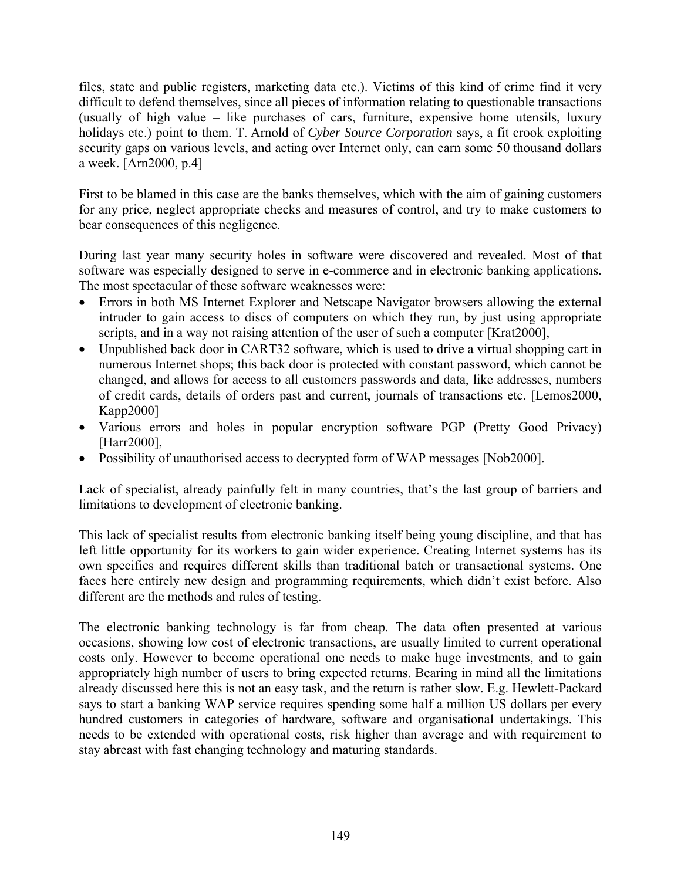files, state and public registers, marketing data etc.). Victims of this kind of crime find it very difficult to defend themselves, since all pieces of information relating to questionable transactions (usually of high value – like purchases of cars, furniture, expensive home utensils, luxury holidays etc.) point to them. T. Arnold of *Cyber Source Corporation* says, a fit crook exploiting security gaps on various levels, and acting over Internet only, can earn some 50 thousand dollars a week. [Arn2000, p.4]

First to be blamed in this case are the banks themselves, which with the aim of gaining customers for any price, neglect appropriate checks and measures of control, and try to make customers to bear consequences of this negligence.

During last year many security holes in software were discovered and revealed. Most of that software was especially designed to serve in e-commerce and in electronic banking applications. The most spectacular of these software weaknesses were:

- Errors in both MS Internet Explorer and Netscape Navigator browsers allowing the external intruder to gain access to discs of computers on which they run, by just using appropriate scripts, and in a way not raising attention of the user of such a computer [Krat2000],
- Unpublished back door in CART32 software, which is used to drive a virtual shopping cart in numerous Internet shops; this back door is protected with constant password, which cannot be changed, and allows for access to all customers passwords and data, like addresses, numbers of credit cards, details of orders past and current, journals of transactions etc. [Lemos2000, Kapp2000]
- Various errors and holes in popular encryption software PGP (Pretty Good Privacy) [Harr2000],
- Possibility of unauthorised access to decrypted form of WAP messages [Nob2000].

Lack of specialist, already painfully felt in many countries, that's the last group of barriers and limitations to development of electronic banking.

This lack of specialist results from electronic banking itself being young discipline, and that has left little opportunity for its workers to gain wider experience. Creating Internet systems has its own specifics and requires different skills than traditional batch or transactional systems. One faces here entirely new design and programming requirements, which didn't exist before. Also different are the methods and rules of testing.

The electronic banking technology is far from cheap. The data often presented at various occasions, showing low cost of electronic transactions, are usually limited to current operational costs only. However to become operational one needs to make huge investments, and to gain appropriately high number of users to bring expected returns. Bearing in mind all the limitations already discussed here this is not an easy task, and the return is rather slow. E.g. Hewlett-Packard says to start a banking WAP service requires spending some half a million US dollars per every hundred customers in categories of hardware, software and organisational undertakings. This needs to be extended with operational costs, risk higher than average and with requirement to stay abreast with fast changing technology and maturing standards.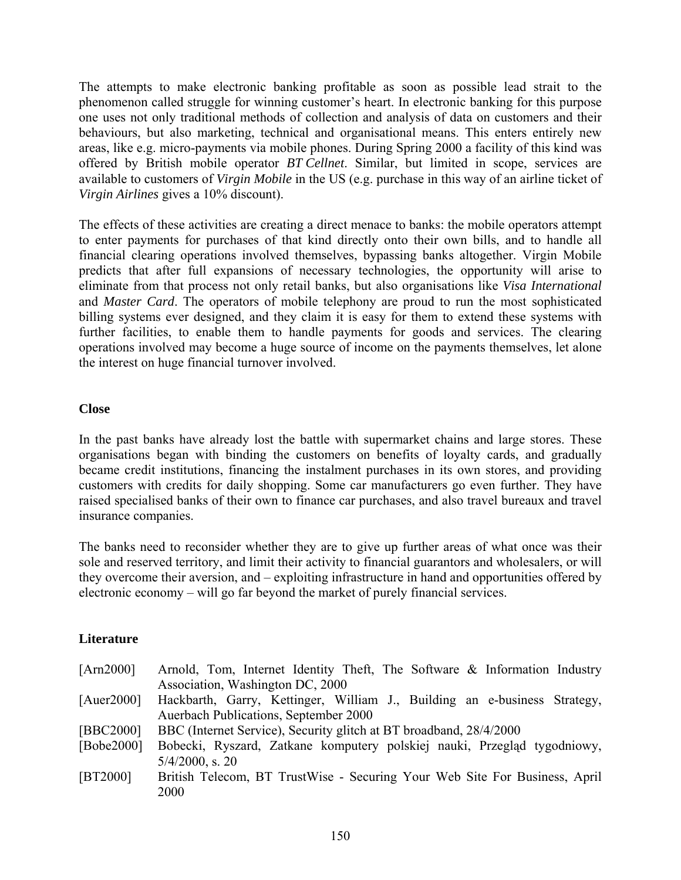The attempts to make electronic banking profitable as soon as possible lead strait to the phenomenon called struggle for winning customer's heart. In electronic banking for this purpose one uses not only traditional methods of collection and analysis of data on customers and their behaviours, but also marketing, technical and organisational means. This enters entirely new areas, like e.g. micro-payments via mobile phones. During Spring 2000 a facility of this kind was offered by British mobile operator *BT Cellnet*. Similar, but limited in scope, services are available to customers of *Virgin Mobile* in the US (e.g. purchase in this way of an airline ticket of *Virgin Airlines* gives a 10% discount).

The effects of these activities are creating a direct menace to banks: the mobile operators attempt to enter payments for purchases of that kind directly onto their own bills, and to handle all financial clearing operations involved themselves, bypassing banks altogether. Virgin Mobile predicts that after full expansions of necessary technologies, the opportunity will arise to eliminate from that process not only retail banks, but also organisations like *Visa International* and *Master Card*. The operators of mobile telephony are proud to run the most sophisticated billing systems ever designed, and they claim it is easy for them to extend these systems with further facilities, to enable them to handle payments for goods and services. The clearing operations involved may become a huge source of income on the payments themselves, let alone the interest on huge financial turnover involved.

### **Close**

In the past banks have already lost the battle with supermarket chains and large stores. These organisations began with binding the customers on benefits of loyalty cards, and gradually became credit institutions, financing the instalment purchases in its own stores, and providing customers with credits for daily shopping. Some car manufacturers go even further. They have raised specialised banks of their own to finance car purchases, and also travel bureaux and travel insurance companies.

The banks need to reconsider whether they are to give up further areas of what once was their sole and reserved territory, and limit their activity to financial guarantors and wholesalers, or will they overcome their aversion, and – exploiting infrastructure in hand and opportunities offered by electronic economy – will go far beyond the market of purely financial services.

#### **Literature**

| [Am2000]       | Arnold, Tom, Internet Identity Theft, The Software & Information Industry                      |
|----------------|------------------------------------------------------------------------------------------------|
|                | Association, Washington DC, 2000                                                               |
| [ $Auer2000$ ] | Hackbarth, Garry, Kettinger, William J., Building an e-business Strategy,                      |
|                | Auerbach Publications, September 2000                                                          |
| [BBC2000]      | BBC (Internet Service), Security glitch at BT broadband, 28/4/2000                             |
| [Bobe2000]     | Bobecki, Ryszard, Zatkane komputery polskiej nauki, Przegląd tygodniowy,<br>$5/4/2000$ , s. 20 |
| [BT2000]       | British Telecom, BT TrustWise - Securing Your Web Site For Business, April<br>2000             |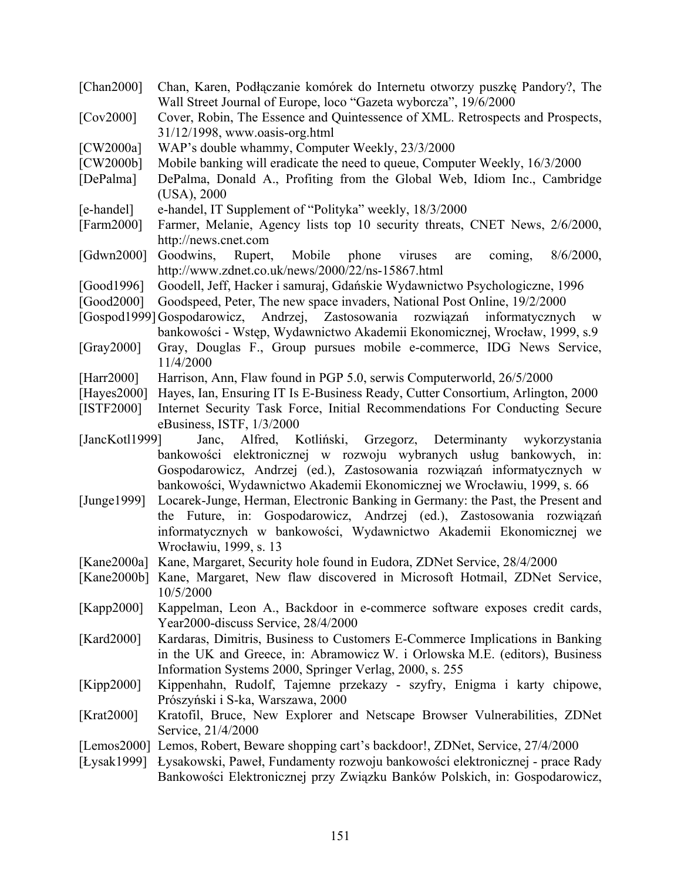- [Chan2000] Chan, Karen, Podłączanie komórek do Internetu otworzy puszkę Pandory?, The Wall Street Journal of Europe, loco "Gazeta wyborcza", 19/6/2000
- [Cov2000] Cover, Robin, The Essence and Quintessence of XML. Retrospects and Prospects, 31/12/1998, www.oasis-org.html
- [CW2000a] WAP's double whammy, Computer Weekly, 23/3/2000
- [CW2000b] Mobile banking will eradicate the need to queue, Computer Weekly, 16/3/2000
- [DePalma] DePalma, Donald A., Profiting from the Global Web, Idiom Inc., Cambridge (USA), 2000
- [e-handel] e-handel, IT Supplement of "Polityka" weekly, 18/3/2000
- [Farm2000] Farmer, Melanie, Agency lists top 10 security threats, CNET News, 2/6/2000, http://news.cnet.com
- [Gdwn2000] Goodwins, Rupert, Mobile phone viruses are coming, 8/6/2000, http://www.zdnet.co.uk/news/2000/22/ns-15867.html
- [Good1996] Goodell, Jeff, Hacker i samuraj, Gdańskie Wydawnictwo Psychologiczne, 1996
- [Good2000] Goodspeed, Peter, The new space invaders, National Post Online, 19/2/2000
- [Gospod1999] Gospodarowicz, Andrzej, Zastosowania rozwiązań informatycznych w bankowości - Wstęp, Wydawnictwo Akademii Ekonomicznej, Wrocław, 1999, s.9
- [Gray2000] Gray, Douglas F., Group pursues mobile e-commerce, IDG News Service, 11/4/2000
- [Harr2000] Harrison, Ann, Flaw found in PGP 5.0, serwis Computerworld, 26/5/2000
- [Hayes2000] Hayes, Ian, Ensuring IT Is E-Business Ready, Cutter Consortium, Arlington, 2000
- [ISTF2000] Internet Security Task Force, Initial Recommendations For Conducting Secure eBusiness, ISTF, 1/3/2000
- [JancKotl1999] Janc, Alfred, Kotliński, Grzegorz, Determinanty wykorzystania bankowości elektronicznej w rozwoju wybranych usług bankowych, in: Gospodarowicz, Andrzej (ed.), Zastosowania rozwiązań informatycznych w bankowości, Wydawnictwo Akademii Ekonomicznej we Wrocławiu, 1999, s. 66
- [Junge1999] Locarek-Junge, Herman, Electronic Banking in Germany: the Past, the Present and the Future, in: Gospodarowicz, Andrzej (ed.), Zastosowania rozwiązań informatycznych w bankowości, Wydawnictwo Akademii Ekonomicznej we Wrocławiu, 1999, s. 13
- [Kane2000a] Kane, Margaret, Security hole found in Eudora, ZDNet Service, 28/4/2000
- [Kane2000b] Kane, Margaret, New flaw discovered in Microsoft Hotmail, ZDNet Service, 10/5/2000
- [Kapp2000] Kappelman, Leon A., Backdoor in e-commerce software exposes credit cards, Year2000-discuss Service, 28/4/2000
- [Kard2000] Kardaras, Dimitris, Business to Customers E-Commerce Implications in Banking in the UK and Greece, in: Abramowicz W. i Orlowska M.E. (editors), Business Information Systems 2000, Springer Verlag, 2000, s. 255
- [Kipp2000] Kippenhahn, Rudolf, Tajemne przekazy szyfry, Enigma i karty chipowe, Prószyński i S-ka, Warszawa, 2000
- [Krat2000] Kratofil, Bruce, New Explorer and Netscape Browser Vulnerabilities, ZDNet Service, 21/4/2000
- [Lemos2000] Lemos, Robert, Beware shopping cart's backdoor!, ZDNet, Service, 27/4/2000
- [Łysak1999] Łysakowski, Paweł, Fundamenty rozwoju bankowości elektronicznej prace Rady Bankowości Elektronicznej przy Związku Banków Polskich, in: Gospodarowicz,